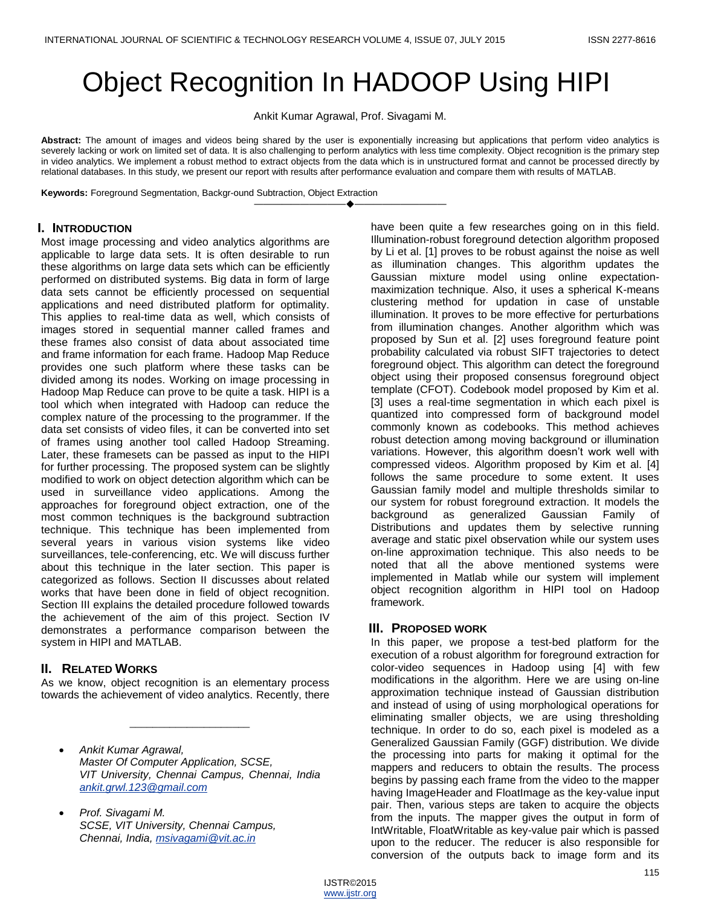# Object Recognition In HADOOP Using HIPI

Ankit Kumar Agrawal, Prof. Sivagami M.

**Abstract:** The amount of images and videos being shared by the user is exponentially increasing but applications that perform video analytics is severely lacking or work on limited set of data. It is also challenging to perform analytics with less time complexity. Object recognition is the primary step in video analytics. We implement a robust method to extract objects from the data which is in unstructured format and cannot be processed directly by relational databases. In this study, we present our report with results after performance evaluation and compare them with results of MATLAB.

————————————————————

**Keywords:** Foreground Segmentation, Backgr-ound Subtraction, Object Extraction

#### **I. INTRODUCTION**

Most image processing and video analytics algorithms are applicable to large data sets. It is often desirable to run these algorithms on large data sets which can be efficiently performed on distributed systems. Big data in form of large data sets cannot be efficiently processed on sequential applications and need distributed platform for optimality. This applies to real-time data as well, which consists of images stored in sequential manner called frames and these frames also consist of data about associated time and frame information for each frame. Hadoop Map Reduce provides one such platform where these tasks can be divided among its nodes. Working on image processing in Hadoop Map Reduce can prove to be quite a task. HIPI is a tool which when integrated with Hadoop can reduce the complex nature of the processing to the programmer. If the data set consists of video files, it can be converted into set of frames using another tool called Hadoop Streaming. Later, these framesets can be passed as input to the HIPI for further processing. The proposed system can be slightly modified to work on object detection algorithm which can be used in surveillance video applications. Among the approaches for foreground object extraction, one of the most common techniques is the background subtraction technique. This technique has been implemented from several years in various vision systems like video surveillances, tele-conferencing, etc. We will discuss further about this technique in the later section. This paper is categorized as follows. Section II discusses about related works that have been done in field of object recognition. Section III explains the detailed procedure followed towards the achievement of the aim of this project. Section IV demonstrates a performance comparison between the system in HIPI and MATLAB.

# **II. RELATED WORKS**

As we know, object recognition is an elementary process towards the achievement of video analytics. Recently, there

 $\overline{\phantom{a}}$  , we can also the contract of  $\overline{\phantom{a}}$ 

 *Prof. Sivagami M. SCSE, VIT University, Chennai Campus, Chennai, India, [msivagami@vit.ac.in](mailto:msivagami@vit.ac.in)*

have been quite a few researches going on in this field. Illumination-robust foreground detection algorithm proposed by Li et al. [1] proves to be robust against the noise as well as illumination changes. This algorithm updates the Gaussian mixture model using online expectationmaximization technique. Also, it uses a spherical K-means clustering method for updation in case of unstable illumination. It proves to be more effective for perturbations from illumination changes. Another algorithm which was proposed by Sun et al. [2] uses foreground feature point probability calculated via robust SIFT trajectories to detect foreground object. This algorithm can detect the foreground object using their proposed consensus foreground object template (CFOT). Codebook model proposed by Kim et al. [3] uses a real-time segmentation in which each pixel is quantized into compressed form of background model commonly known as codebooks. This method achieves robust detection among moving background or illumination variations. However, this algorithm doesn't work well with compressed videos. Algorithm proposed by Kim et al. [4] follows the same procedure to some extent. It uses Gaussian family model and multiple thresholds similar to our system for robust foreground extraction. It models the background as generalized Gaussian Family of Distributions and updates them by selective running average and static pixel observation while our system uses on-line approximation technique. This also needs to be noted that all the above mentioned systems were implemented in Matlab while our system will implement object recognition algorithm in HIPI tool on Hadoop framework.

#### **III. PROPOSED WORK**

In this paper, we propose a test-bed platform for the execution of a robust algorithm for foreground extraction for color-video sequences in Hadoop using [4] with few modifications in the algorithm. Here we are using on-line approximation technique instead of Gaussian distribution and instead of using of using morphological operations for eliminating smaller objects, we are using thresholding technique. In order to do so, each pixel is modeled as a Generalized Gaussian Family (GGF) distribution. We divide the processing into parts for making it optimal for the mappers and reducers to obtain the results. The process begins by passing each frame from the video to the mapper having ImageHeader and FloatImage as the key-value input pair. Then, various steps are taken to acquire the objects from the inputs. The mapper gives the output in form of IntWritable, FloatWritable as key-value pair which is passed upon to the reducer. The reducer is also responsible for conversion of the outputs back to image form and its

*Ankit Kumar Agrawal, Master Of Computer Application, SCSE, VIT University, Chennai Campus, Chennai, India [ankit.grwl.123@gmail.com](mailto:ankit.grwl.123@gmail.com)*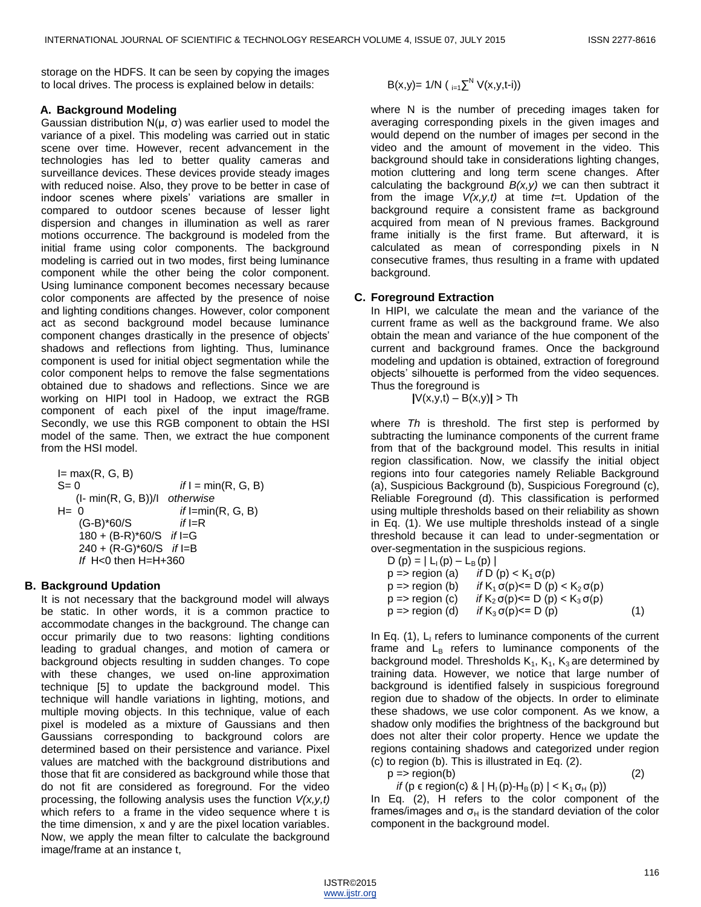storage on the HDFS. It can be seen by copying the images to local drives. The process is explained below in details:

#### **A. Background Modeling**

Gaussian distribution N(µ, σ) was earlier used to model the variance of a pixel. This modeling was carried out in static scene over time. However, recent advancement in the technologies has led to better quality cameras and surveillance devices. These devices provide steady images with reduced noise. Also, they prove to be better in case of indoor scenes where pixels' variations are smaller in compared to outdoor scenes because of lesser light dispersion and changes in illumination as well as rarer motions occurrence. The background is modeled from the initial frame using color components. The background modeling is carried out in two modes, first being luminance component while the other being the color component. Using luminance component becomes necessary because color components are affected by the presence of noise and lighting conditions changes. However, color component act as second background model because luminance component changes drastically in the presence of objects' shadows and reflections from lighting. Thus, luminance component is used for initial object segmentation while the color component helps to remove the false segmentations obtained due to shadows and reflections. Since we are working on HIPI tool in Hadoop, we extract the RGB component of each pixel of the input image/frame. Secondly, we use this RGB component to obtain the HSI model of the same. Then, we extract the hue component from the HSI model.

 $I= max(R, G, B)$  $S = 0$  *if*  $I = min(R, G, B)$  (I- min(R, G, B))/I *otherwise* H= 0 *if* I=min(R, G, B) (G-B)\*60/S *if* I=R 180 + (B-R)\*60/S *if* I=G 240 + (R-G)\*60/S *if* I=B  *If* H<0 then H=H+360

#### **B. Background Updation**

It is not necessary that the background model will always be static. In other words, it is a common practice to accommodate changes in the background. The change can occur primarily due to two reasons: lighting conditions leading to gradual changes, and motion of camera or background objects resulting in sudden changes. To cope with these changes, we used on-line approximation technique [5] to update the background model. This technique will handle variations in lighting, motions, and multiple moving objects. In this technique, value of each pixel is modeled as a mixture of Gaussians and then Gaussians corresponding to background colors are determined based on their persistence and variance. Pixel values are matched with the background distributions and those that fit are considered as background while those that do not fit are considered as foreground. For the video processing, the following analysis uses the function *V(x,y,t)* which refers to a frame in the video sequence where t is the time dimension, x and y are the pixel location variables. Now, we apply the mean filter to calculate the background image/frame at an instance t,

$$
B(x,y)=1/N (i_{i=1} \sum^{N} V(x,y,t-i))
$$

where N is the number of preceding images taken for averaging corresponding pixels in the given images and would depend on the number of images per second in the video and the amount of movement in the video. This background should take in considerations lighting changes, motion cluttering and long term scene changes. After calculating the background *B(x,y)* we can then subtract it from the image *V(x,y,t)* at time *t*=t. Updation of the background require a consistent frame as background acquired from mean of N previous frames. Background frame initially is the first frame. But afterward, it is calculated as mean of corresponding pixels in N consecutive frames, thus resulting in a frame with updated background.

#### **C. Foreground Extraction**

In HIPI, we calculate the mean and the variance of the current frame as well as the background frame. We also obtain the mean and variance of the hue component of the current and background frames. Once the background modeling and updation is obtained, extraction of foreground objects' silhouette is performed from the video sequences. Thus the foreground is

 $|V(x,y,t) - B(x,y)| > Th$ 

where *Th* is threshold. The first step is performed by subtracting the luminance components of the current frame from that of the background model. This results in initial region classification. Now, we classify the initial object regions into four categories namely Reliable Background (a), Suspicious Background (b), Suspicious Foreground (c), Reliable Foreground (d). This classification is performed using multiple thresholds based on their reliability as shown in Eq. (1). We use multiple thresholds instead of a single threshold because it can lead to under-segmentation or over-segmentation in the suspicious regions.

| $D(p) =   L_1(p) - L_8(p)  $ |                                                    |     |
|------------------------------|----------------------------------------------------|-----|
| p => region (a)              | if D (p) $<$ K <sub>1</sub> $\sigma$ (p)           |     |
| p => region (b)              | <i>if</i> $K_1 \sigma(p) \le D(p) < K_2 \sigma(p)$ |     |
| p => region (c)              | if $K_2 \sigma(p) \le D(p) < K_3 \sigma(p)$        |     |
| p => region (d)              | if $K_3 \sigma(p) \le D(p)$                        | (1) |

In Eq.  $(1)$ ,  $L<sub>1</sub>$  refers to luminance components of the current frame and  $L_B$  refers to luminance components of the background model. Thresholds  $K_1, K_3$  are determined by training data. However, we notice that large number of background is identified falsely in suspicious foreground region due to shadow of the objects. In order to eliminate these shadows, we use color component. As we know, a shadow only modifies the brightness of the background but does not alter their color property. Hence we update the regions containing shadows and categorized under region (c) to region (b). This is illustrated in Eq. (2).

 $p \Rightarrow \text{region}(b)$  (2)

*if* (p  $\epsilon$  region(c) & | H<sub>1</sub>(p)-H<sub>B</sub>(p) | < K<sub>1</sub>  $\sigma$ <sub>H</sub>(p)) In Eq. (2), H refers to the color component of the frames/images and  $\sigma_H$  is the standard deviation of the color component in the background model.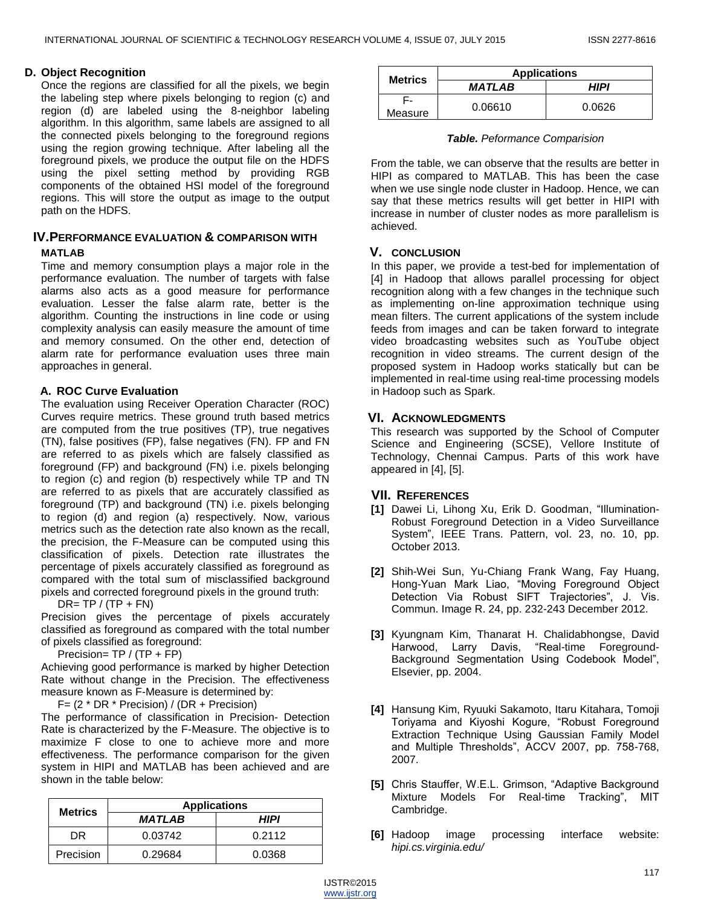#### **D. Object Recognition**

Once the regions are classified for all the pixels, we begin the labeling step where pixels belonging to region (c) and region (d) are labeled using the 8-neighbor labeling algorithm. In this algorithm, same labels are assigned to all the connected pixels belonging to the foreground regions using the region growing technique. After labeling all the foreground pixels, we produce the output file on the HDFS using the pixel setting method by providing RGB components of the obtained HSI model of the foreground regions. This will store the output as image to the output path on the HDFS.

# **IV.PERFORMANCE EVALUATION & COMPARISON WITH**

#### **MATLAB**

Time and memory consumption plays a major role in the performance evaluation. The number of targets with false alarms also acts as a good measure for performance evaluation. Lesser the false alarm rate, better is the algorithm. Counting the instructions in line code or using complexity analysis can easily measure the amount of time and memory consumed. On the other end, detection of alarm rate for performance evaluation uses three main approaches in general.

### **A. ROC Curve Evaluation**

The evaluation using Receiver Operation Character (ROC) Curves require metrics. These ground truth based metrics are computed from the true positives (TP), true negatives (TN), false positives (FP), false negatives (FN). FP and FN are referred to as pixels which are falsely classified as foreground (FP) and background (FN) i.e. pixels belonging to region (c) and region (b) respectively while TP and TN are referred to as pixels that are accurately classified as foreground (TP) and background (TN) i.e. pixels belonging to region (d) and region (a) respectively. Now, various metrics such as the detection rate also known as the recall, the precision, the F-Measure can be computed using this classification of pixels. Detection rate illustrates the percentage of pixels accurately classified as foreground as compared with the total sum of misclassified background pixels and corrected foreground pixels in the ground truth:

 $DR = TP / (TP + FN)$ 

Precision gives the percentage of pixels accurately classified as foreground as compared with the total number of pixels classified as foreground:

Precision=  $TP / (TP + FP)$ 

Achieving good performance is marked by higher Detection Rate without change in the Precision. The effectiveness measure known as F-Measure is determined by:

F= (2 \* DR \* Precision) / (DR + Precision)

The performance of classification in Precision- Detection Rate is characterized by the F-Measure. The objective is to maximize F close to one to achieve more and more effectiveness. The performance comparison for the given system in HIPI and MATLAB has been achieved and are shown in the table below:

| <b>Metrics</b> | <b>Applications</b> |        |
|----------------|---------------------|--------|
|                | <b>MATLAB</b>       | HIPI   |
| DR             | 0.03742             | 0.2112 |
| Precision      | 0.29684             | 0.0368 |

| <b>Metrics</b> | <b>Applications</b> |        |
|----------------|---------------------|--------|
|                | <b>MATLAB</b>       | HIPI   |
| Measure        | 0.06610             | 0.0626 |

| Table. Peformance Comparision |  |  |  |
|-------------------------------|--|--|--|
|-------------------------------|--|--|--|

From the table, we can observe that the results are better in HIPI as compared to MATLAB. This has been the case when we use single node cluster in Hadoop. Hence, we can say that these metrics results will get better in HIPI with increase in number of cluster nodes as more parallelism is achieved.

# **V. CONCLUSION**

In this paper, we provide a test-bed for implementation of [4] in Hadoop that allows parallel processing for object recognition along with a few changes in the technique such as implementing on-line approximation technique using mean filters. The current applications of the system include feeds from images and can be taken forward to integrate video broadcasting websites such as YouTube object recognition in video streams. The current design of the proposed system in Hadoop works statically but can be implemented in real-time using real-time processing models in Hadoop such as Spark.

# **VI. ACKNOWLEDGMENTS**

This research was supported by the School of Computer Science and Engineering (SCSE), Vellore Institute of Technology, Chennai Campus. Parts of this work have appeared in [4], [5].

# **VII. REFERENCES**

- [1] Dawei Li, Lihong Xu, Erik D. Goodman, "Illumination-Robust Foreground Detection in a Video Surveillance System", IEEE Trans. Pattern, vol. 23, no. 10, pp. October 2013.
- **[2]** Shih-Wei Sun, Yu-Chiang Frank Wang, Fay Huang, Hong-Yuan Mark Liao, "Moving Foreground Object Detection Via Robust SIFT Trajectories", J. Vis. Commun. Image R. 24, pp. 232-243 December 2012.
- **[3]** Kyungnam Kim, Thanarat H. Chalidabhongse, David Harwood, Larry Davis, "Real-time Foreground-Background Segmentation Using Codebook Model", Elsevier, pp. 2004.
- **[4]** Hansung Kim, Ryuuki Sakamoto, Itaru Kitahara, Tomoji Toriyama and Kiyoshi Kogure, "Robust Foreground Extraction Technique Using Gaussian Family Model and Multiple Thresholds", ACCV 2007, pp. 758-768, 2007.
- [5] Chris Stauffer, W.E.L. Grimson, "Adaptive Background Mixture Models For Real-time Tracking", MIT Cambridge.
- **[6]** Hadoop image processing interface website: *hipi.cs.virginia.edu/*